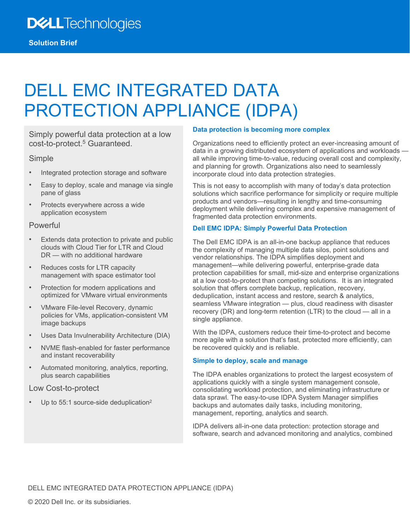# DELL EMC INTEGRATED DATA PROTECTION APPLIANCE (IDPA)

Simply powerful data protection at a low cost-to-protect.<sup>5</sup> Guaranteed.

#### Simple

- Integrated protection storage and software
- Easy to deploy, scale and manage via single pane of glass
- Protects everywhere across a wide application ecosystem

## Powerful

- Extends data protection to private and public clouds with Cloud Tier for LTR and Cloud DR — with no additional hardware
- Reduces costs for LTR capacity management with space estimator tool
- Protection for modern applications and optimized for VMware virtual environments
- VMware File-level Recovery, dynamic policies for VMs, application-consistent VM image backups
- Uses Data Invulnerability Architecture (DIA)
- NVME flash-enabled for faster performance and instant recoverability
- Automated monitoring, analytics, reporting, plus search capabilities

#### Low Cost-to-protect

Up to 55:1 source-side deduplication<sup>2</sup>

#### **Data protection is becoming more complex**

Organizations need to efficiently protect an ever-increasing amount of data in a growing distributed ecosystem of applications and workloads all while improving time-to-value, reducing overall cost and complexity, and planning for growth. Organizations also need to seamlessly incorporate cloud into data protection strategies.

This is not easy to accomplish with many of today's data protection solutions which sacrifice performance for simplicity or require multiple products and vendors—resulting in lengthy and time-consuming deployment while delivering complex and expensive management of fragmented data protection environments.

## **Dell EMC IDPA: Simply Powerful Data Protection**

The Dell EMC IDPA is an all-in-one backup appliance that reduces the complexity of managing multiple data silos, point solutions and vendor relationships. The IDPA simplifies deployment and management—while delivering powerful, enterprise-grade data protection capabilities for small, mid-size and enterprise organizations at a low cost-to-protect than competing solutions. It is an integrated solution that offers complete backup, replication, recovery, deduplication, instant access and restore, search & analytics, seamless VMware integration — plus, cloud readiness with disaster recovery (DR) and long-term retention (LTR) to the cloud — all in a single appliance.

With the IDPA, customers reduce their time-to-protect and become more agile with a solution that's fast, protected more efficiently, can be recovered quickly and is reliable.

## **Simple to deploy, scale and manage**

The IDPA enables organizations to protect the largest ecosystem of applications quickly with a single system management console, consolidating workload protection, and eliminating infrastructure or data sprawl. The easy-to-use IDPA System Manager simplifies backups and automates daily tasks, including monitoring, management, reporting, analytics and search.

IDPA delivers all-in-one data protection: protection storage and software, search and advanced monitoring and analytics, combined

DELL EMC INTEGRATED DATA PROTECTION APPLIANCE (IDPA)

© 2020 Dell Inc. or its subsidiaries.